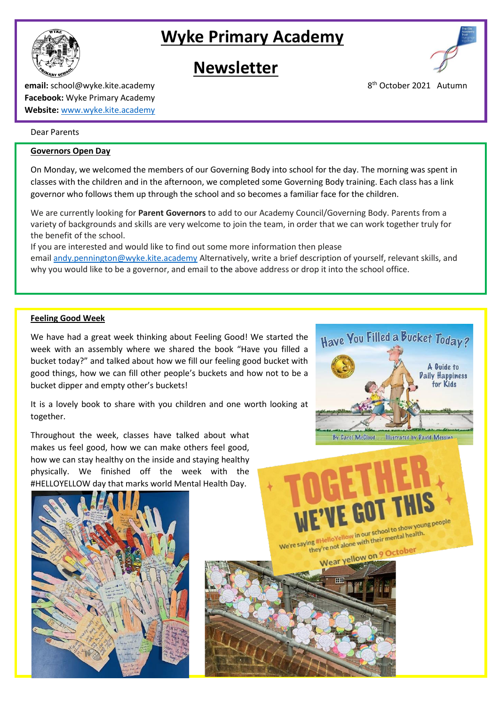# **Wyke Primary Academy**





8<sup>th</sup> October 2021 Autumn

**email:** school@wyke.kite.academy 8 **Facebook:** Wyke Primary Academy **Website:** [www.wyke.kite.academy](http://www.wyke.kite.academy/)

#### Dear Parents

## **Governors Open Day**

On Monday, we welcomed the members of our Governing Body into school for the day. The morning was spent in classes with the children and in the afternoon, we completed some Governing Body training. Each class has a link governor who follows them up through the school and so becomes a familiar face for the children.

We are currently looking for **Parent Governors** to add to our Academy Council/Governing Body. Parents from a variety of backgrounds and skills are very welcome to join the team, in order that we can work together truly for the benefit of the school.

If you are interested and would like to find out some more information then please email [andy.pennington@wyke.kite.academy](mailto:andy.pennington@wyke.kite.academy) Alternatively, write a brief description of yourself, relevant skills, and why you would like to be a governor, and email to [the](mailto:andy.pennington@wyke.kite.academy) above address or drop it into the school office.

#### **Feeling Good Week**

We have had a great week thinking about Feeling Good! We started the week with an assembly where we shared the book "Have you filled a bucket today?" and talked about how we fill our feeling good bucket with good things, how we can fill other people's buckets and how not to be a bucket dipper and empty other's buckets!

It is a lovely book to share with you children and one worth looking at together.

Throughout the week, classes have talked about what makes us feel good, how we can make others feel good, how we can stay healthy on the inside and staying healthy physically. We finished off the week with the #HELLOYELLOW day that marks world Mental Health Day.





We're saying #Hello Yellow in our school to show young people ing #HelloYellow in our school to show your<br>they're not alone with their mental health. Wear yellow on 9 October

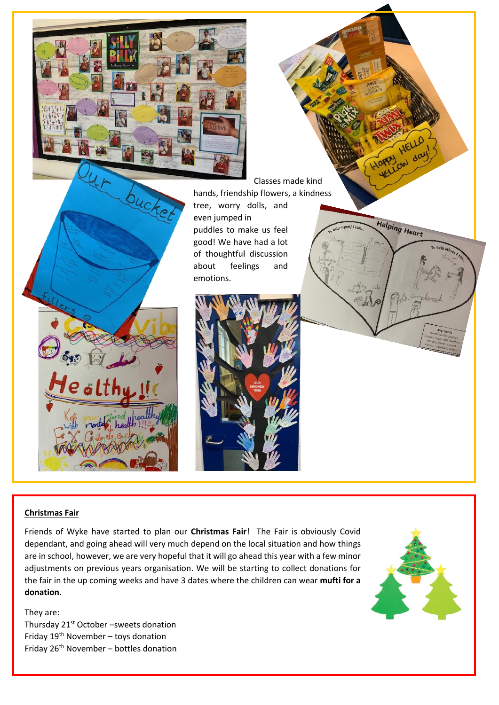

even jumped in puddles to make us feel good! We have had a lot of thoughtful discussion about feelings and emotions.



# **Christmas Fair**

Friends of Wyke have started to plan our **Christmas Fair**! The Fair is obviously Covid dependant, and going ahead will very much depend on the local situation and how things are in school, however, we are very hopeful that it will go ahead this year with a few minor adjustments on previous years organisation. We will be starting to collect donations for the fair in the up coming weeks and have 3 dates where the children can wear **mufti for a donation**.

They are:

Thursday 21<sup>st</sup> October –sweets donation Friday 19th November – toys donation Friday 26th November – bottles donation



**Helping Heart**